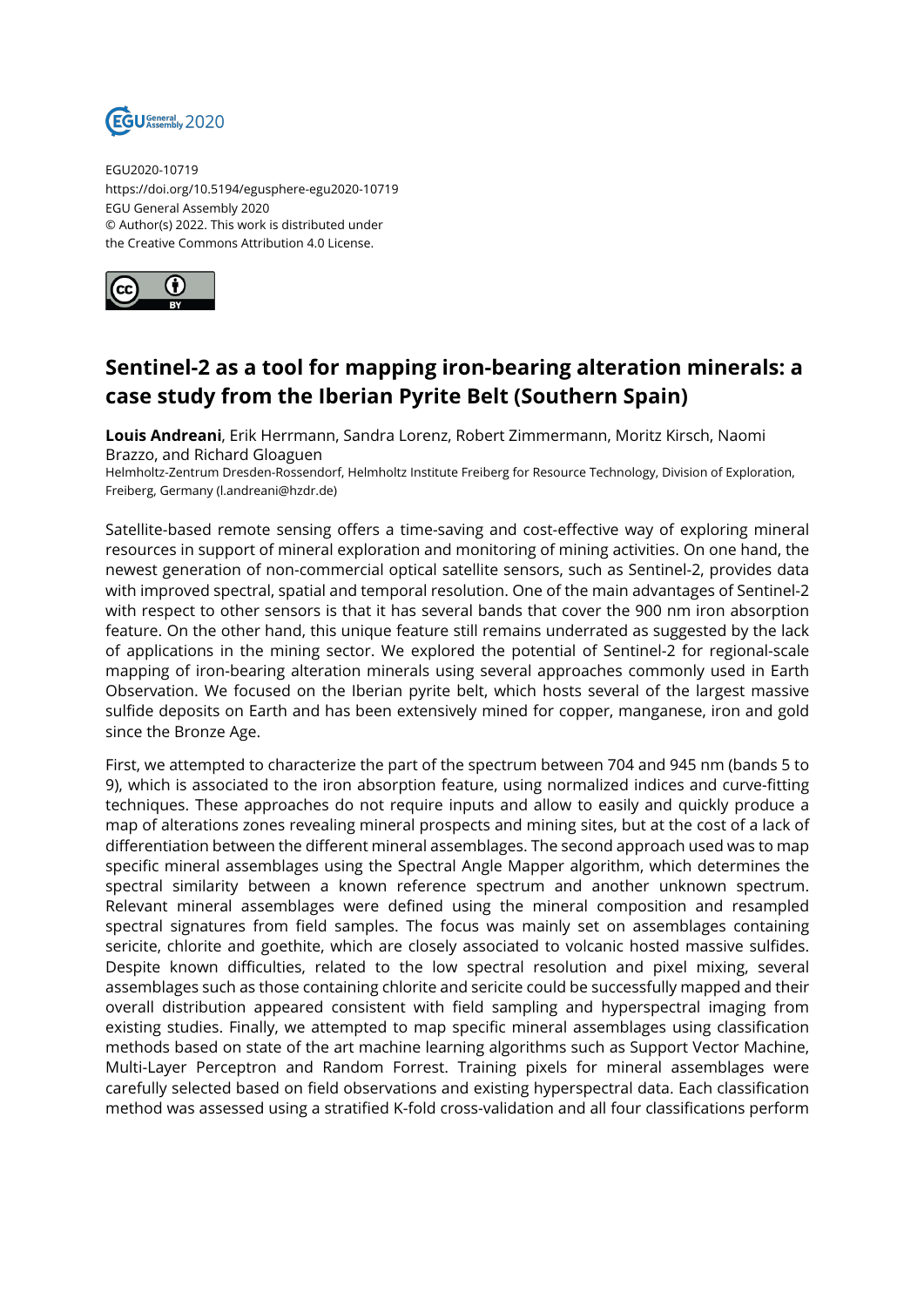

EGU2020-10719 https://doi.org/10.5194/egusphere-egu2020-10719 EGU General Assembly 2020 © Author(s) 2022. This work is distributed under the Creative Commons Attribution 4.0 License.



## **Sentinel-2 as a tool for mapping iron-bearing alteration minerals: a case study from the Iberian Pyrite Belt (Southern Spain)**

**Louis Andreani**, Erik Herrmann, Sandra Lorenz, Robert Zimmermann, Moritz Kirsch, Naomi Brazzo, and Richard Gloaguen

Helmholtz-Zentrum Dresden-Rossendorf, Helmholtz Institute Freiberg for Resource Technology, Division of Exploration, Freiberg, Germany (l.andreani@hzdr.de)

Satellite-based remote sensing offers a time-saving and cost-effective way of exploring mineral resources in support of mineral exploration and monitoring of mining activities. On one hand, the newest generation of non-commercial optical satellite sensors, such as Sentinel-2, provides data with improved spectral, spatial and temporal resolution. One of the main advantages of Sentinel-2 with respect to other sensors is that it has several bands that cover the 900 nm iron absorption feature. On the other hand, this unique feature still remains underrated as suggested by the lack of applications in the mining sector. We explored the potential of Sentinel-2 for regional-scale mapping of iron-bearing alteration minerals using several approaches commonly used in Earth Observation. We focused on the Iberian pyrite belt, which hosts several of the largest massive sulfide deposits on Earth and has been extensively mined for copper, manganese, iron and gold since the Bronze Age.

First, we attempted to characterize the part of the spectrum between 704 and 945 nm (bands 5 to 9), which is associated to the iron absorption feature, using normalized indices and curve-fitting techniques. These approaches do not require inputs and allow to easily and quickly produce a map of alterations zones revealing mineral prospects and mining sites, but at the cost of a lack of differentiation between the different mineral assemblages. The second approach used was to map specific mineral assemblages using the Spectral Angle Mapper algorithm, which determines the spectral similarity between a known reference spectrum and another unknown spectrum. Relevant mineral assemblages were defined using the mineral composition and resampled spectral signatures from field samples. The focus was mainly set on assemblages containing sericite, chlorite and goethite, which are closely associated to volcanic hosted massive sulfides. Despite known difficulties, related to the low spectral resolution and pixel mixing, several assemblages such as those containing chlorite and sericite could be successfully mapped and their overall distribution appeared consistent with field sampling and hyperspectral imaging from existing studies. Finally, we attempted to map specific mineral assemblages using classification methods based on state of the art machine learning algorithms such as Support Vector Machine, Multi-Layer Perceptron and Random Forrest. Training pixels for mineral assemblages were carefully selected based on field observations and existing hyperspectral data. Each classification method was assessed using a stratified K-fold cross-validation and all four classifications perform